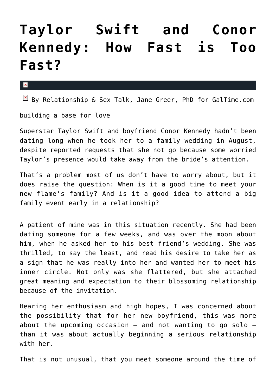## **[Taylor Swift and Conor](https://cupidspulse.com/38380/taylor-swift-connor-kennedy-how-fast-too-fast/) [Kennedy: How Fast is Too](https://cupidspulse.com/38380/taylor-swift-connor-kennedy-how-fast-too-fast/) [Fast?](https://cupidspulse.com/38380/taylor-swift-connor-kennedy-how-fast-too-fast/)**

## $\mathbf x$

 $\boxed{\times}$  By Relationship & Sex Talk, Jane Greer, PhD for GalTime.com

building a base for love

Superstar Taylor Swift and boyfriend Conor Kennedy hadn't been dating long when he took her to a family wedding in August, despite reported requests that she not go because some worried Taylor's presence would take away from the bride's attention.

That's a problem most of us don't have to worry about, but it does raise the question: When is it a good time to meet your new flame's family? And is it a good idea to attend a big family event early in a relationship?

A patient of mine was in this situation recently. She had been dating someone for a few weeks, and was over the moon about him, when he asked her to his best friend's wedding. She was thrilled, to say the least, and read his desire to take her as a sign that he was really into her and wanted her to meet his inner circle. Not only was she flattered, but she attached great meaning and expectation to their blossoming relationship because of the invitation.

Hearing her enthusiasm and high hopes, I was concerned about the possibility that for her new boyfriend, this was more about the upcoming occasion  $-$  and not wanting to go solo  $$ than it was about actually beginning a serious relationship with her.

That is not unusual, that you meet someone around the time of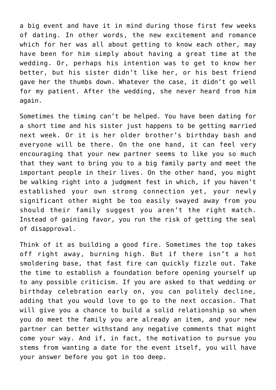a big event and have it in mind during those first few weeks of dating. In other words, the new excitement and romance which for her was all about getting to know each other, may have been for him simply about having a great time at the wedding. Or, perhaps his intention was to get to know her better, but his sister didn't like her, or his best friend gave her the thumbs down. Whatever the case, it didn't go well for my patient. After the wedding, she never heard from him again.

Sometimes the timing can't be helped. You have been dating for a short time and his sister just happens to be getting married next week. Or it is her older brother's birthday bash and everyone will be there. On the one hand, it can feel very encouraging that your new partner seems to like you so much that they want to bring you to a big family party and meet the important people in their lives. On the other hand, you might be walking right into a judgment fest in which, if you haven't established your own strong connection yet, your newly significant other might be too easily swayed away from you should their family suggest you aren't the right match. Instead of gaining favor, you run the risk of getting the seal of disapproval.

Think of it as building a good fire. Sometimes the top takes off right away, burning high. But if there isn't a hot smoldering base, that fast fire can quickly fizzle out. Take the time to establish a foundation before opening yourself up to any possible criticism. If you are asked to that wedding or birthday celebration early on, you can politely decline, adding that you would love to go to the next occasion. That will give you a chance to build a solid relationship so when you do meet the family you are already an item, and your new partner can better withstand any negative comments that might come your way. And if, in fact, the motivation to pursue you stems from wanting a date for the event itself, you will have your answer before you got in too deep.